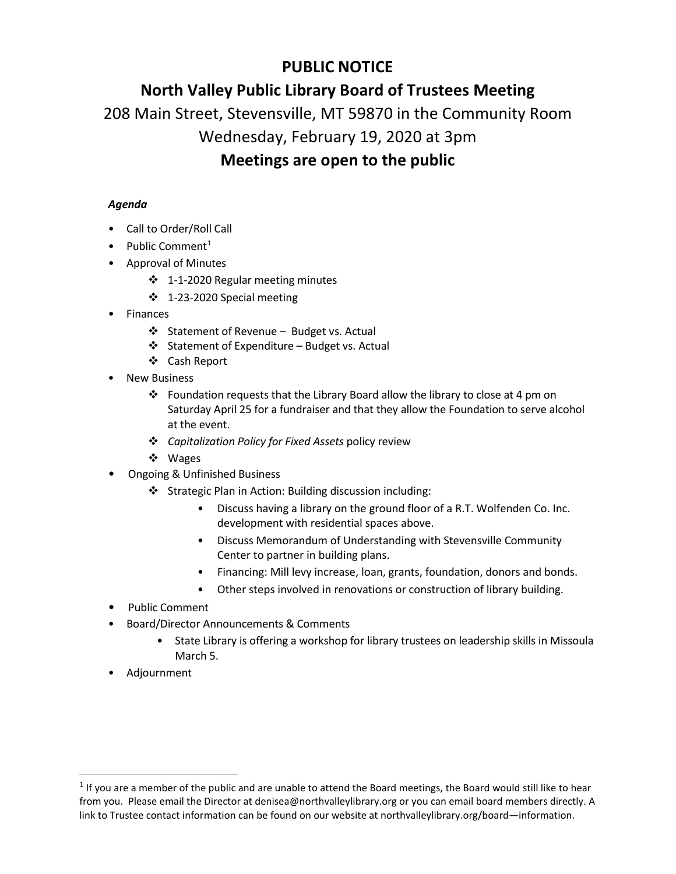# **PUBLIC NOTICE**

# **North Valley Public Library Board of Trustees Meeting**

208 Main Street, Stevensville, MT 59870 in the Community Room

### Wednesday, February 19, 2020 at 3pm

## **Meetings are open to the public**

### *Agenda*

- Call to Order/Roll Call
- Public Comment<sup>[1](#page-0-0)</sup>
- Approval of Minutes
	- 1-1-2020 Regular meeting minutes
	- 1-23-2020 Special meeting
- Finances
	- Statement of Revenue Budget vs. Actual
	- ❖ Statement of Expenditure Budget vs. Actual
	- Cash Report
- **New Business** 
	- $\cdot$  Foundation requests that the Library Board allow the library to close at 4 pm on Saturday April 25 for a fundraiser and that they allow the Foundation to serve alcohol at the event.
	- *Capitalization Policy for Fixed Assets* policy review
	- ❖ Wages
- Ongoing & Unfinished Business
	- Strategic Plan in Action: Building discussion including:
		- Discuss having a library on the ground floor of a R.T. Wolfenden Co. Inc. development with residential spaces above.
		- Discuss Memorandum of Understanding with Stevensville Community Center to partner in building plans.
		- Financing: Mill levy increase, loan, grants, foundation, donors and bonds.
		- Other steps involved in renovations or construction of library building.
- Public Comment
- Board/Director Announcements & Comments
	- State Library is offering a workshop for library trustees on leadership skills in Missoula March 5.
- Adjournment

<span id="page-0-0"></span> $1$  If you are a member of the public and are unable to attend the Board meetings, the Board would still like to hear from you. Please email the Director at denisea@northvalleylibrary.org or you can email board members directly. A link to Trustee contact information can be found on our website at northvalleylibrary.org/board—information.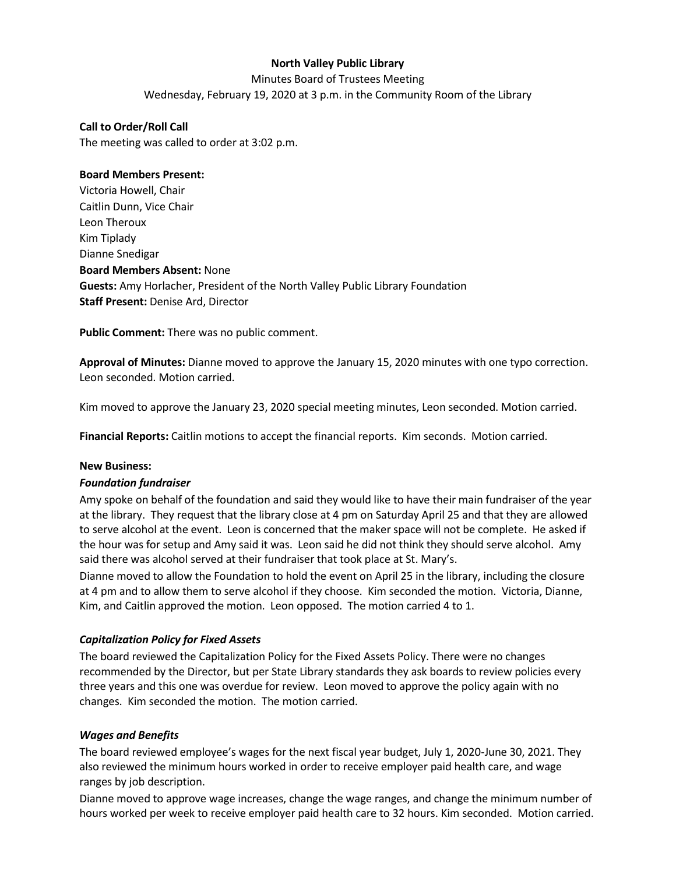#### **North Valley Public Library**

Minutes Board of Trustees Meeting

Wednesday, February 19, 2020 at 3 p.m. in the Community Room of the Library

#### **Call to Order/Roll Call**

The meeting was called to order at 3:02 p.m.

#### **Board Members Present:**

Victoria Howell, Chair Caitlin Dunn, Vice Chair Leon Theroux Kim Tiplady Dianne Snedigar **Board Members Absent:** None **Guests:** Amy Horlacher, President of the North Valley Public Library Foundation **Staff Present:** Denise Ard, Director

**Public Comment:** There was no public comment.

**Approval of Minutes:** Dianne moved to approve the January 15, 2020 minutes with one typo correction. Leon seconded. Motion carried.

Kim moved to approve the January 23, 2020 special meeting minutes, Leon seconded. Motion carried.

**Financial Reports:** Caitlin motions to accept the financial reports. Kim seconds. Motion carried.

#### **New Business:**

#### *Foundation fundraiser*

Amy spoke on behalf of the foundation and said they would like to have their main fundraiser of the year at the library. They request that the library close at 4 pm on Saturday April 25 and that they are allowed to serve alcohol at the event. Leon is concerned that the maker space will not be complete. He asked if the hour was for setup and Amy said it was. Leon said he did not think they should serve alcohol. Amy said there was alcohol served at their fundraiser that took place at St. Mary's.

Dianne moved to allow the Foundation to hold the event on April 25 in the library, including the closure at 4 pm and to allow them to serve alcohol if they choose. Kim seconded the motion. Victoria, Dianne, Kim, and Caitlin approved the motion. Leon opposed. The motion carried 4 to 1.

#### *Capitalization Policy for Fixed Assets*

The board reviewed the Capitalization Policy for the Fixed Assets Policy. There were no changes recommended by the Director, but per State Library standards they ask boards to review policies every three years and this one was overdue for review. Leon moved to approve the policy again with no changes. Kim seconded the motion. The motion carried.

#### *Wages and Benefits*

The board reviewed employee's wages for the next fiscal year budget, July 1, 2020-June 30, 2021. They also reviewed the minimum hours worked in order to receive employer paid health care, and wage ranges by job description.

Dianne moved to approve wage increases, change the wage ranges, and change the minimum number of hours worked per week to receive employer paid health care to 32 hours. Kim seconded. Motion carried.